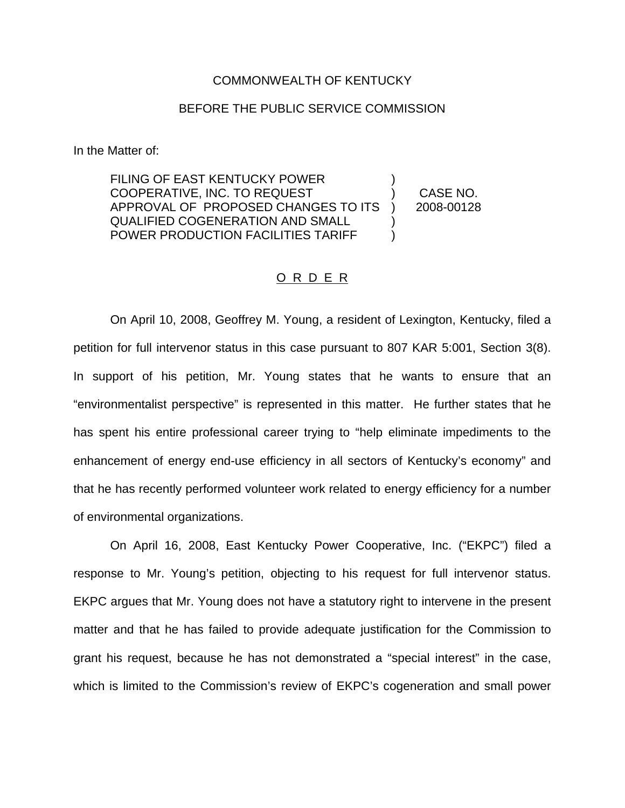## COMMONWEALTH OF KENTUCKY

## BEFORE THE PUBLIC SERVICE COMMISSION

In the Matter of:

FILING OF EAST KENTUCKY POWER COOPERATIVE, INC. TO REQUEST APPROVAL OF PROPOSED CHANGES TO ITS QUALIFIED COGENERATION AND SMALL POWER PRODUCTION FACILITIES TARIFF ) ) CASE NO. ) 2008-00128 ) )

## O R D E R

On April 10, 2008, Geoffrey M. Young, a resident of Lexington, Kentucky, filed a petition for full intervenor status in this case pursuant to 807 KAR 5:001, Section 3(8). In support of his petition, Mr. Young states that he wants to ensure that an "environmentalist perspective" is represented in this matter. He further states that he has spent his entire professional career trying to "help eliminate impediments to the enhancement of energy end-use efficiency in all sectors of Kentucky's economy" and that he has recently performed volunteer work related to energy efficiency for a number of environmental organizations.

On April 16, 2008, East Kentucky Power Cooperative, Inc. ("EKPC") filed a response to Mr. Young's petition, objecting to his request for full intervenor status. EKPC argues that Mr. Young does not have a statutory right to intervene in the present matter and that he has failed to provide adequate justification for the Commission to grant his request, because he has not demonstrated a "special interest" in the case, which is limited to the Commission's review of EKPC's cogeneration and small power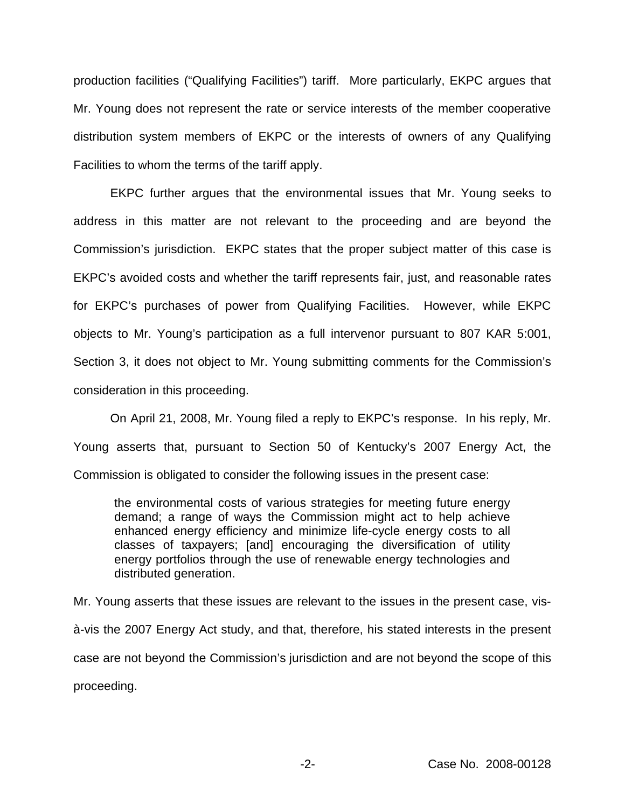production facilities ("Qualifying Facilities") tariff. More particularly, EKPC argues that Mr. Young does not represent the rate or service interests of the member cooperative distribution system members of EKPC or the interests of owners of any Qualifying Facilities to whom the terms of the tariff apply.

EKPC further argues that the environmental issues that Mr. Young seeks to address in this matter are not relevant to the proceeding and are beyond the Commission's jurisdiction. EKPC states that the proper subject matter of this case is EKPC's avoided costs and whether the tariff represents fair, just, and reasonable rates for EKPC's purchases of power from Qualifying Facilities. However, while EKPC objects to Mr. Young's participation as a full intervenor pursuant to 807 KAR 5:001, Section 3, it does not object to Mr. Young submitting comments for the Commission's consideration in this proceeding.

On April 21, 2008, Mr. Young filed a reply to EKPC's response. In his reply, Mr. Young asserts that, pursuant to Section 50 of Kentucky's 2007 Energy Act, the Commission is obligated to consider the following issues in the present case:

the environmental costs of various strategies for meeting future energy demand; a range of ways the Commission might act to help achieve enhanced energy efficiency and minimize life-cycle energy costs to all classes of taxpayers; [and] encouraging the diversification of utility energy portfolios through the use of renewable energy technologies and distributed generation.

Mr. Young asserts that these issues are relevant to the issues in the present case, visà-vis the 2007 Energy Act study, and that, therefore, his stated interests in the present case are not beyond the Commission's jurisdiction and are not beyond the scope of this proceeding.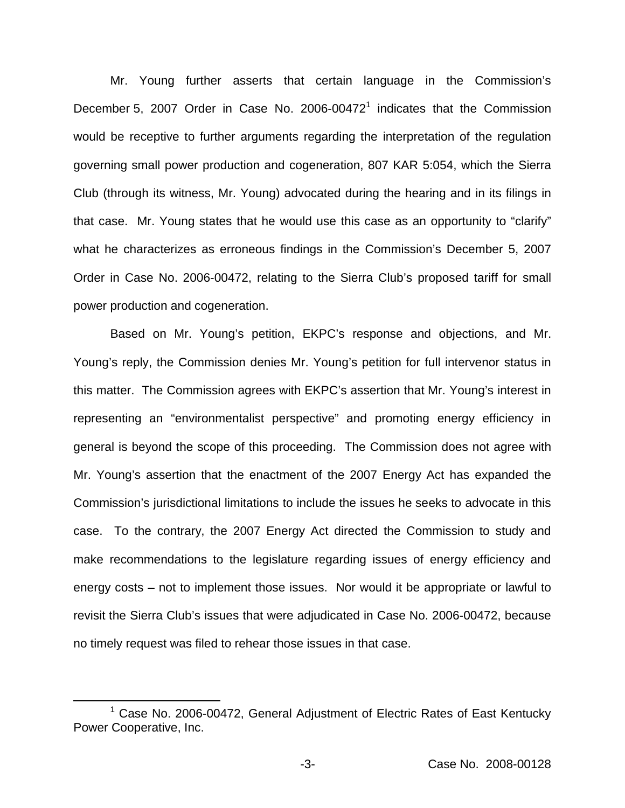Mr. Young further asserts that certain language in the Commission's December 5, 2007 Order in Case No. 2006-00472<sup>1</sup> indicates that the Commission would be receptive to further arguments regarding the interpretation of the regulation governing small power production and cogeneration, 807 KAR 5:054, which the Sierra Club (through its witness, Mr. Young) advocated during the hearing and in its filings in that case. Mr. Young states that he would use this case as an opportunity to "clarify" what he characterizes as erroneous findings in the Commission's December 5, 2007 Order in Case No. 2006-00472, relating to the Sierra Club's proposed tariff for small power production and cogeneration.

Based on Mr. Young's petition, EKPC's response and objections, and Mr. Young's reply, the Commission denies Mr. Young's petition for full intervenor status in this matter. The Commission agrees with EKPC's assertion that Mr. Young's interest in representing an "environmentalist perspective" and promoting energy efficiency in general is beyond the scope of this proceeding. The Commission does not agree with Mr. Young's assertion that the enactment of the 2007 Energy Act has expanded the Commission's jurisdictional limitations to include the issues he seeks to advocate in this case. To the contrary, the 2007 Energy Act directed the Commission to study and make recommendations to the legislature regarding issues of energy efficiency and energy costs – not to implement those issues. Nor would it be appropriate or lawful to revisit the Sierra Club's issues that were adjudicated in Case No. 2006-00472, because no timely request was filed to rehear those issues in that case.

 $1$  Case No. 2006-00472, General Adjustment of Electric Rates of East Kentucky Power Cooperative, Inc.